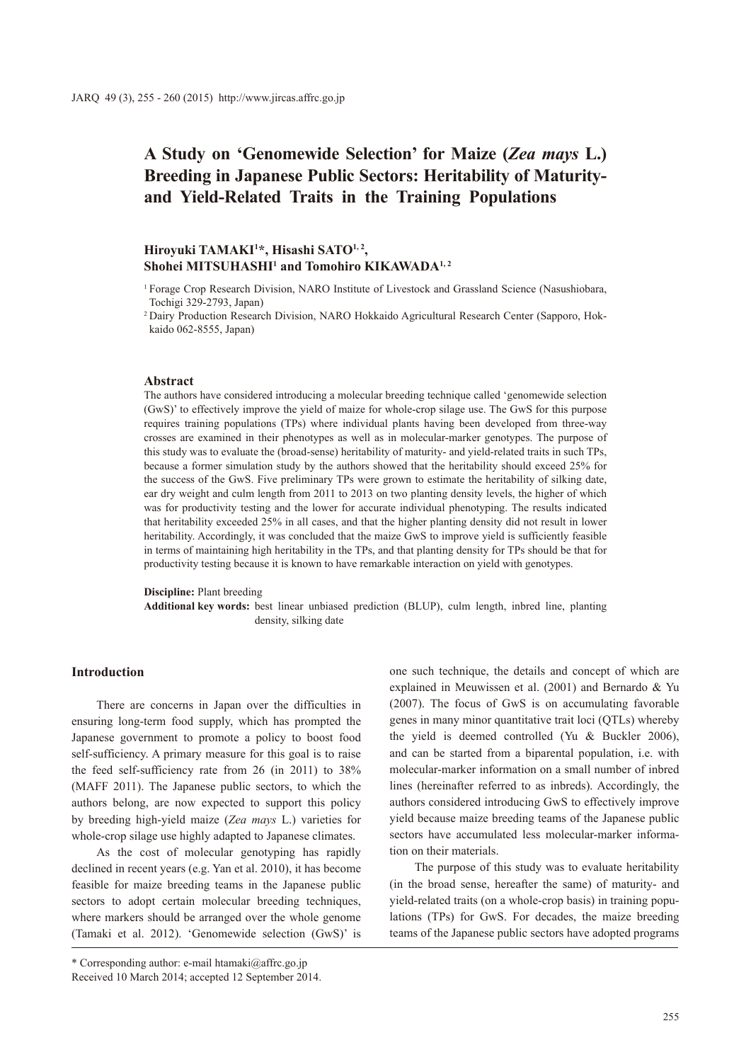# **A Study on 'Genomewide Selection' for Maize (***Zea mays* **L.) Breeding in Japanese Public Sectors: Heritability of Maturityand Yield-Related Traits in the Training Populations**

# **Hiroyuki TAMAKI1 \*, Hisashi SATO1, 2, Shohei MITSUHASHI1 and Tomohiro KIKAWADA1, 2**

<sup>2</sup> Dairy Production Research Division, NARO Hokkaido Agricultural Research Center (Sapporo, Hokkaido 062-8555, Japan)

### **Abstract**

The authors have considered introducing a molecular breeding technique called 'genomewide selection (GwS)' to effectively improve the yield of maize for whole-crop silage use. The GwS for this purpose requires training populations (TPs) where individual plants having been developed from three-way crosses are examined in their phenotypes as well as in molecular-marker genotypes. The purpose of this study was to evaluate the (broad-sense) heritability of maturity- and yield-related traits in such TPs, because a former simulation study by the authors showed that the heritability should exceed 25% for the success of the GwS. Five preliminary TPs were grown to estimate the heritability of silking date, ear dry weight and culm length from 2011 to 2013 on two planting density levels, the higher of which was for productivity testing and the lower for accurate individual phenotyping. The results indicated that heritability exceeded 25% in all cases, and that the higher planting density did not result in lower heritability. Accordingly, it was concluded that the maize GwS to improve yield is sufficiently feasible in terms of maintaining high heritability in the TPs, and that planting density for TPs should be that for productivity testing because it is known to have remarkable interaction on yield with genotypes.

#### **Discipline:** Plant breeding

**Additional key words:** best linear unbiased prediction (BLUP), culm length, inbred line, planting density, silking date

## **Introduction**

There are concerns in Japan over the difficulties in ensuring long-term food supply, which has prompted the Japanese government to promote a policy to boost food self-sufficiency. A primary measure for this goal is to raise the feed self-sufficiency rate from 26 (in 2011) to 38% (MAFF 2011). The Japanese public sectors, to which the authors belong, are now expected to support this policy by breeding high-yield maize (*Zea mays* L.) varieties for whole-crop silage use highly adapted to Japanese climates.

As the cost of molecular genotyping has rapidly declined in recent years (e.g. Yan et al. 2010), it has become feasible for maize breeding teams in the Japanese public sectors to adopt certain molecular breeding techniques, where markers should be arranged over the whole genome (Tamaki et al. 2012). 'Genomewide selection (GwS)' is

\* Corresponding author: e-mail htamaki@affrc.go.jp

one such technique, the details and concept of which are explained in Meuwissen et al. (2001) and Bernardo & Yu (2007). The focus of GwS is on accumulating favorable genes in many minor quantitative trait loci (QTLs) whereby the yield is deemed controlled (Yu & Buckler 2006), and can be started from a biparental population, i.e. with molecular-marker information on a small number of inbred lines (hereinafter referred to as inbreds). Accordingly, the authors considered introducing GwS to effectively improve yield because maize breeding teams of the Japanese public sectors have accumulated less molecular-marker information on their materials.

The purpose of this study was to evaluate heritability (in the broad sense, hereafter the same) of maturity- and yield-related traits (on a whole-crop basis) in training populations (TPs) for GwS. For decades, the maize breeding teams of the Japanese public sectors have adopted programs

<sup>1</sup> Forage Crop Research Division, NARO Institute of Livestock and Grassland Science (Nasushiobara, Tochigi 329-2793, Japan)

Received 10 March 2014; accepted 12 September 2014.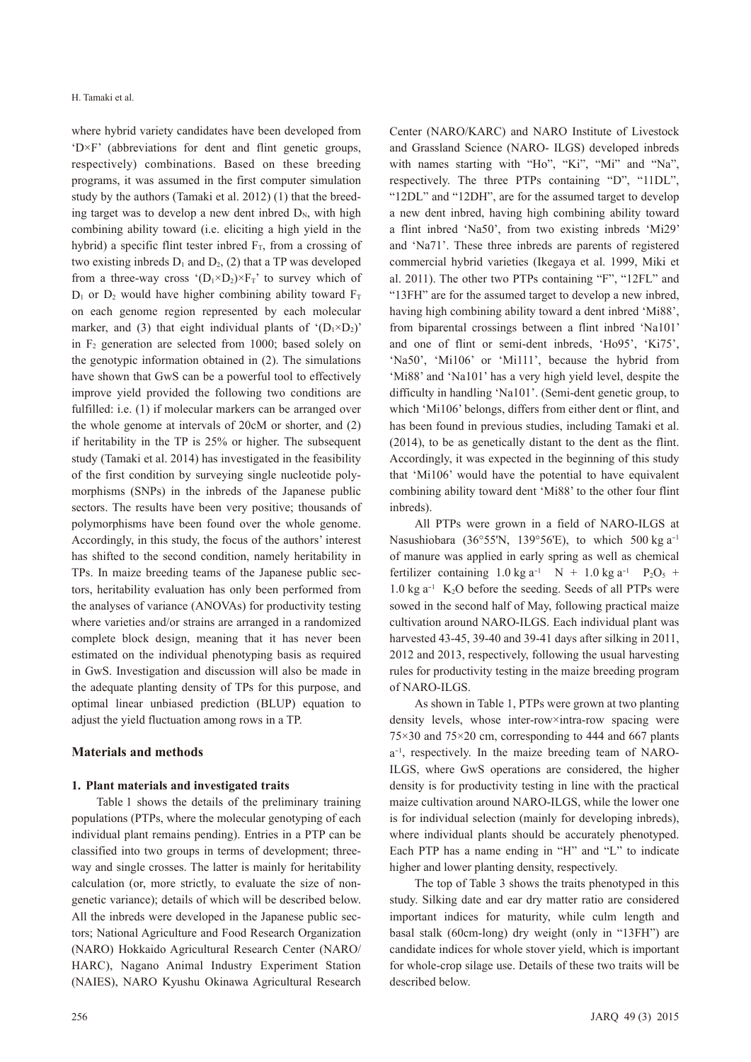where hybrid variety candidates have been developed from 'D×F' (abbreviations for dent and flint genetic groups, respectively) combinations. Based on these breeding programs, it was assumed in the first computer simulation study by the authors (Tamaki et al. 2012) (1) that the breeding target was to develop a new dent inbred  $D_N$ , with high combining ability toward (i.e. eliciting a high yield in the hybrid) a specific flint tester inbred  $F_T$ , from a crossing of two existing inbreds  $D_1$  and  $D_2$ , (2) that a TP was developed from a three-way cross  $(D_1 \times D_2) \times F_T$ ' to survey which of  $D_1$  or  $D_2$  would have higher combining ability toward  $F_T$ on each genome region represented by each molecular marker, and (3) that eight individual plants of  $(D_1 \times D_2)$ in  $F_2$  generation are selected from 1000; based solely on the genotypic information obtained in (2). The simulations have shown that GwS can be a powerful tool to effectively improve yield provided the following two conditions are fulfilled: i.e. (1) if molecular markers can be arranged over the whole genome at intervals of 20cM or shorter, and (2) if heritability in the TP is 25% or higher. The subsequent study (Tamaki et al. 2014) has investigated in the feasibility of the first condition by surveying single nucleotide polymorphisms (SNPs) in the inbreds of the Japanese public sectors. The results have been very positive; thousands of polymorphisms have been found over the whole genome. Accordingly, in this study, the focus of the authors' interest has shifted to the second condition, namely heritability in TPs. In maize breeding teams of the Japanese public sectors, heritability evaluation has only been performed from the analyses of variance (ANOVAs) for productivity testing where varieties and/or strains are arranged in a randomized complete block design, meaning that it has never been estimated on the individual phenotyping basis as required in GwS. Investigation and discussion will also be made in the adequate planting density of TPs for this purpose, and optimal linear unbiased prediction (BLUP) equation to adjust the yield fluctuation among rows in a TP.

#### **Materials and methods**

#### **1. Plant materials and investigated traits**

Table 1 shows the details of the preliminary training populations (PTPs, where the molecular genotyping of each individual plant remains pending). Entries in a PTP can be classified into two groups in terms of development; threeway and single crosses. The latter is mainly for heritability calculation (or, more strictly, to evaluate the size of nongenetic variance); details of which will be described below. All the inbreds were developed in the Japanese public sectors; National Agriculture and Food Research Organization (NARO) Hokkaido Agricultural Research Center (NARO/ HARC), Nagano Animal Industry Experiment Station (NAIES), NARO Kyushu Okinawa Agricultural Research

Center (NARO/KARC) and NARO Institute of Livestock and Grassland Science (NARO- ILGS) developed inbreds with names starting with "Ho", "Ki", "Mi" and "Na", respectively. The three PTPs containing "D", "11DL", "12DL" and "12DH", are for the assumed target to develop a new dent inbred, having high combining ability toward a flint inbred 'Na50', from two existing inbreds 'Mi29' and 'Na71'. These three inbreds are parents of registered commercial hybrid varieties (Ikegaya et al. 1999, Miki et al. 2011). The other two PTPs containing "F", "12FL" and "13FH" are for the assumed target to develop a new inbred, having high combining ability toward a dent inbred 'Mi88', from biparental crossings between a flint inbred 'Na101' and one of flint or semi-dent inbreds, 'Ho95', 'Ki75', 'Na50', 'Mi106' or 'Mi111', because the hybrid from 'Mi88' and 'Na101' has a very high yield level, despite the difficulty in handling 'Na101'. (Semi-dent genetic group, to which 'Mi106' belongs, differs from either dent or flint, and has been found in previous studies, including Tamaki et al. (2014), to be as genetically distant to the dent as the flint. Accordingly, it was expected in the beginning of this study that 'Mi106' would have the potential to have equivalent combining ability toward dent 'Mi88' to the other four flint inbreds).

All PTPs were grown in a field of NARO-ILGS at Nasushiobara (36°55'N, 139°56'E), to which 500 kg  $a^{-1}$ of manure was applied in early spring as well as chemical fertilizer containing  $1.0 \text{ kg a}^{-1}$  N +  $1.0 \text{ kg a}^{-1}$  P<sub>2</sub>O<sub>5</sub> + 1.0 kg a-1 K2O before the seeding. Seeds of all PTPs were sowed in the second half of May, following practical maize cultivation around NARO-ILGS. Each individual plant was harvested 43-45, 39-40 and 39-41 days after silking in 2011, 2012 and 2013, respectively, following the usual harvesting rules for productivity testing in the maize breeding program of NARO-ILGS.

As shown in Table 1, PTPs were grown at two planting density levels, whose inter-row×intra-row spacing were  $75\times30$  and  $75\times20$  cm, corresponding to 444 and 667 plants a-1 , respectively. In the maize breeding team of NARO-ILGS, where GwS operations are considered, the higher density is for productivity testing in line with the practical maize cultivation around NARO-ILGS, while the lower one is for individual selection (mainly for developing inbreds), where individual plants should be accurately phenotyped. Each PTP has a name ending in "H" and "L" to indicate higher and lower planting density, respectively.

The top of Table 3 shows the traits phenotyped in this study. Silking date and ear dry matter ratio are considered important indices for maturity, while culm length and basal stalk (60cm-long) dry weight (only in "13FH") are candidate indices for whole stover yield, which is important for whole-crop silage use. Details of these two traits will be described below.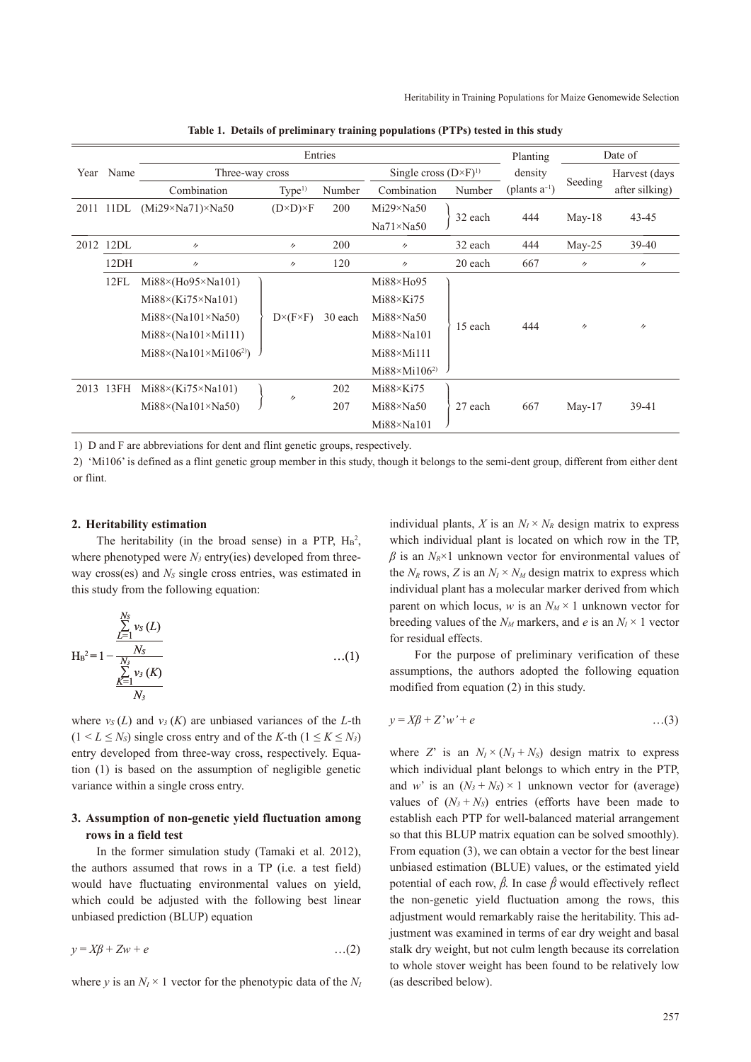|      |           | Entries                                |                         |         |                                 |         |                    | Date of           |                   |  |
|------|-----------|----------------------------------------|-------------------------|---------|---------------------------------|---------|--------------------|-------------------|-------------------|--|
| Year | Name      | Three-way cross                        |                         |         | Single cross $(D \times F)^{1}$ |         | density            |                   | Harvest (days     |  |
|      |           | Combination                            | Type <sup>1</sup>       | Number  | Combination                     | Number  | (plants $a^{-1}$ ) | Seeding           | after silking)    |  |
| 2011 | 11DL      | $(Mi29\times Na71)\times Na50$         | $(D \times D) \times F$ | 200     | $Mi29 \times Na50$              |         |                    |                   |                   |  |
|      |           |                                        |                         |         | $Na71 \times Na50$              | 32 each | 444                | $May-18$          | $43 - 45$         |  |
| 2012 | 12DL      | $^{\prime\prime}$                      | $^{\prime\prime}$       | 200     | $^{\prime\prime}$               | 32 each | 444                | $May-25$          | $39-40$           |  |
|      | 12DH      | $^{\prime\prime}$                      | $^{\prime\prime}$       | 120     | $^{\prime\prime}$               | 20 each | 667                | $^{\prime\prime}$ | $^{\prime\prime}$ |  |
|      | 12FL      | $Mi88\times(Ho95\times Na101)$         |                         |         | $Mi88 \times Ho95$              |         | 444                | $^{\prime\prime}$ | $^{\prime\prime}$ |  |
|      |           | $Mi88 \times (Ki75 \times Na101)$      |                         |         | $Mi88 \times Ki75$              |         |                    |                   |                   |  |
|      |           | $Mi88\times(Na101\times Na50)$         | $D\times (F\times F)$   | 30 each | $Mi88 \times Na50$              |         |                    |                   |                   |  |
|      |           | $Mi88 \times (Na101 \times Mi111)$     |                         |         | $Mi88 \times Na101$             | 15 each |                    |                   |                   |  |
|      |           | $Mi88 \times (Na101 \times Mi106^{2})$ |                         |         | $Mi88 \times Mi111$             |         |                    |                   |                   |  |
|      |           |                                        |                         |         | $Mi88 \times Mi106^{2}$         |         |                    |                   |                   |  |
|      | 2013 13FH | $Mi88 \times (Ki75 \times Na101)$      |                         | 202     | $Mi88 \times Ki75$              |         | 667                | $May-17$          | 39-41             |  |
|      |           | $Mi88\times(Na101\times Na50)$         | 11                      | 207     | $Mi88 \times Na50$              | 27 each |                    |                   |                   |  |
|      |           |                                        |                         |         | $Mi88 \times Na101$             |         |                    |                   |                   |  |

**Table 1. Details of preliminary training populations (PTPs) tested in this study**

1) D and F are abbreviations for dent and flint genetic groups, respectively.

2) 'Mi106' is defined as a flint genetic group member in this study, though it belongs to the semi-dent group, different from either dent or flint.

#### **2. Heritability estimation**

The heritability (in the broad sense) in a PTP,  $H_B^2$ , where phenotyped were  $N_3$  entry(ies) developed from threeway cross(es) and *NS* single cross entries, was estimated in this study from the following equation:

$$
H_B^2 = 1 - \frac{\sum_{L=1}^{N_S} v_S(L)}{\sum_{\substack{N_S \\ \underline{K} = 1}}^{N_S} v_S(K)} \qquad ...(1)
$$

where  $v_S(L)$  and  $v_3(K)$  are unbiased variances of the *L*-th  $(1 \le L \le N_s)$  single cross entry and of the *K*-th  $(1 \le K \le N_s)$ entry developed from three-way cross, respectively. Equation (1) is based on the assumption of negligible genetic variance within a single cross entry.

# **3. Assumption of non-genetic yield fluctuation among rows in a field test**

In the former simulation study (Tamaki et al. 2012), the authors assumed that rows in a TP (i.e. a test field) would have fluctuating environmental values on yield, which could be adjusted with the following best linear unbiased prediction (BLUP) equation

$$
y = X\beta + Zw + e \tag{2}
$$

where *y* is an  $N_I \times 1$  vector for the phenotypic data of the  $N_I$ 

individual plants, *X* is an  $N_I \times N_R$  design matrix to express which individual plant is located on which row in the TP,  $\beta$  is an  $N_R \times 1$  unknown vector for environmental values of the  $N_R$  rows, Z is an  $N_I \times N_M$  design matrix to express which individual plant has a molecular marker derived from which parent on which locus, *w* is an  $N_M \times 1$  unknown vector for breeding values of the  $N_M$  markers, and *e* is an  $N_I \times 1$  vector for residual effects.

For the purpose of preliminary verification of these assumptions, the authors adopted the following equation modified from equation (2) in this study.

$$
y = X\beta + Z'w' + e \qquad \qquad \dots(3)
$$

where *Z*' is an  $N_I \times (N_3 + N_S)$  design matrix to express which individual plant belongs to which entry in the PTP, and *w*' is an  $(N_3 + N_5) \times 1$  unknown vector for (average) values of  $(N_3 + N_5)$  entries (efforts have been made to establish each PTP for well-balanced material arrangement so that this BLUP matrix equation can be solved smoothly). From equation (3), we can obtain a vector for the best linear unbiased estimation (BLUE) values, or the estimated yield potential of each row, *βˆ*. In case *βˆ* would effectively reflect the non-genetic yield fluctuation among the rows, this adjustment would remarkably raise the heritability. This adjustment was examined in terms of ear dry weight and basal stalk dry weight, but not culm length because its correlation to whole stover weight has been found to be relatively low (as described below).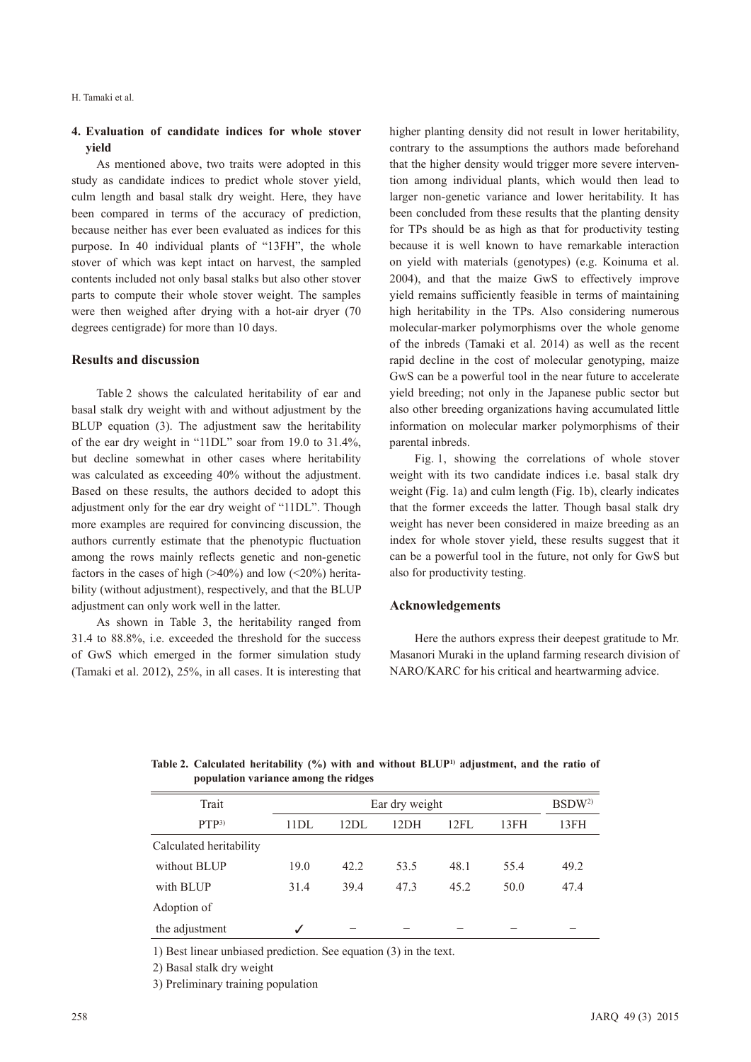# **4. Evaluation of candidate indices for whole stover yield**

As mentioned above, two traits were adopted in this study as candidate indices to predict whole stover yield, culm length and basal stalk dry weight. Here, they have been compared in terms of the accuracy of prediction, because neither has ever been evaluated as indices for this purpose. In 40 individual plants of "13FH", the whole stover of which was kept intact on harvest, the sampled contents included not only basal stalks but also other stover parts to compute their whole stover weight. The samples were then weighed after drying with a hot-air dryer (70 degrees centigrade) for more than 10 days.

#### **Results and discussion**

Table 2 shows the calculated heritability of ear and basal stalk dry weight with and without adjustment by the BLUP equation (3). The adjustment saw the heritability of the ear dry weight in "11DL" soar from 19.0 to 31.4%, but decline somewhat in other cases where heritability was calculated as exceeding 40% without the adjustment. Based on these results, the authors decided to adopt this adjustment only for the ear dry weight of "11DL". Though more examples are required for convincing discussion, the authors currently estimate that the phenotypic fluctuation among the rows mainly reflects genetic and non-genetic factors in the cases of high  $(>40%)$  and low  $(<20%)$  heritability (without adjustment), respectively, and that the BLUP adjustment can only work well in the latter.

As shown in Table 3, the heritability ranged from 31.4 to 88.8%, i.e. exceeded the threshold for the success of GwS which emerged in the former simulation study (Tamaki et al. 2012), 25%, in all cases. It is interesting that higher planting density did not result in lower heritability, contrary to the assumptions the authors made beforehand that the higher density would trigger more severe intervention among individual plants, which would then lead to larger non-genetic variance and lower heritability. It has been concluded from these results that the planting density for TPs should be as high as that for productivity testing because it is well known to have remarkable interaction on yield with materials (genotypes) (e.g. Koinuma et al. 2004), and that the maize GwS to effectively improve yield remains sufficiently feasible in terms of maintaining high heritability in the TPs. Also considering numerous molecular-marker polymorphisms over the whole genome of the inbreds (Tamaki et al. 2014) as well as the recent rapid decline in the cost of molecular genotyping, maize GwS can be a powerful tool in the near future to accelerate yield breeding; not only in the Japanese public sector but also other breeding organizations having accumulated little information on molecular marker polymorphisms of their parental inbreds.

Fig. 1, showing the correlations of whole stover weight with its two candidate indices i.e. basal stalk dry weight (Fig. 1a) and culm length (Fig. 1b), clearly indicates that the former exceeds the latter. Though basal stalk dry weight has never been considered in maize breeding as an index for whole stover yield, these results suggest that it can be a powerful tool in the future, not only for GwS but also for productivity testing.

# **Acknowledgements**

Here the authors express their deepest gratitude to Mr. Masanori Muraki in the upland farming research division of NARO/KARC for his critical and heartwarming advice.

| Trait                   |      | BSDW <sup>2</sup> |      |      |      |      |
|-------------------------|------|-------------------|------|------|------|------|
| PTP <sup>3</sup>        | 11DL | 12DL              | 12DH | 12FL | 13FH | 13FH |
| Calculated heritability |      |                   |      |      |      |      |
| without BLUP            | 19.0 | 42.2              | 53.5 | 48.1 | 55.4 | 49.2 |
| with BLUP               | 31.4 | 39.4              | 47.3 | 45.2 | 50.0 | 47.4 |
| Adoption of             |      |                   |      |      |      |      |
| the adjustment          | ✓    |                   |      |      |      |      |

Table 2. Calculated heritability (%) with and without BLUP<sup>1)</sup> adjustment, and the ratio of **population variance among the ridges**

1) Best linear unbiased prediction. See equation (3) in the text.

2) Basal stalk dry weight

3) Preliminary training population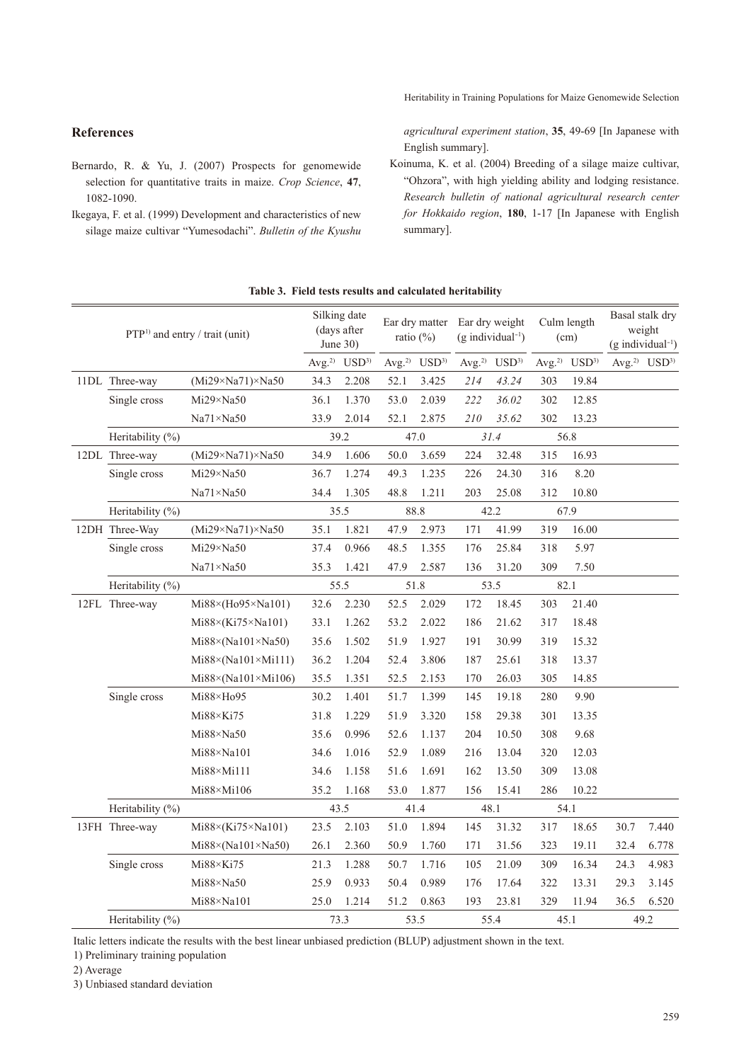**References**

1082-1090.

Bernardo, R. & Yu, J. (2007) Prospects for genomewide selection for quantitative traits in maize. *Crop Science*, **47**,

Ikegaya, F. et al. (1999) Development and characteristics of new silage maize cultivar "Yumesodachi". *Bulletin of the Kyushu*  *agricultural experiment station*, **35**, 49-69 [In Japanese with English summary].

Koinuma, K. et al. (2004) Breeding of a silage maize cultivar, "Ohzora", with high yielding ability and lodging resistance. *Research bulletin of national agricultural research center for Hokkaido region*, **180**, 1-17 [In Japanese with English summary].

|  |                                            | Table 5. Field tests results and calculated heritability |      |                                            |      |                                      |      |                                                                  |      |                                      |      |                                                              |  |
|--|--------------------------------------------|----------------------------------------------------------|------|--------------------------------------------|------|--------------------------------------|------|------------------------------------------------------------------|------|--------------------------------------|------|--------------------------------------------------------------|--|
|  | PTP <sup>1)</sup> and entry / trait (unit) |                                                          |      | Silking date<br>(days after<br>June $30$ ) |      | ratio $(\%)$                         |      | Ear dry matter Ear dry weight<br>$(g$ individual <sup>-1</sup> ) |      | Culm length<br>(cm)                  |      | Basal stalk dry<br>weight<br>$(g$ individual <sup>-1</sup> ) |  |
|  |                                            |                                                          |      | Avg. <sup>2)</sup> USD <sup>3)</sup>       |      | Avg. <sup>2)</sup> USD <sup>3)</sup> |      | Avg. <sup>2)</sup> $USD3$                                        |      | Avg. <sup>2)</sup> USD <sup>3)</sup> |      | Avg. <sup>2)</sup> $USD3$                                    |  |
|  | 11DL Three-way                             | $(Mi29\times Na71)\times Na50$                           | 34.3 | 2.208                                      | 52.1 | 3.425                                | 214  | 43.24                                                            | 303  | 19.84                                |      |                                                              |  |
|  | Single cross                               | $Mi29 \times Na50$                                       | 36.1 | 1.370                                      | 53.0 | 2.039                                | 222  | 36.02                                                            | 302  | 12.85                                |      |                                                              |  |
|  |                                            | $Na71 \times Na50$                                       | 33.9 | 2.014                                      | 52.1 | 2.875                                | 210  | 35.62                                                            | 302  | 13.23                                |      |                                                              |  |
|  | Heritability (%)                           | 39.2                                                     |      | 47.0                                       |      | 31.4                                 |      | 56.8                                                             |      |                                      |      |                                                              |  |
|  | 12DL Three-way                             | $(Mi29\times Na71)\times Na50$                           | 34.9 | 1.606                                      | 50.0 | 3.659                                | 224  | 32.48                                                            | 315  | 16.93                                |      |                                                              |  |
|  | Single cross                               | $Mi29 \times Na50$                                       | 36.7 | 1.274                                      | 49.3 | 1.235                                | 226  | 24.30                                                            | 316  | 8.20                                 |      |                                                              |  |
|  |                                            | $Na71 \times Na50$                                       | 34.4 | 1.305                                      | 48.8 | 1.211                                | 203  | 25.08                                                            | 312  | 10.80                                |      |                                                              |  |
|  | Heritability (%)                           |                                                          | 35.5 |                                            | 88.8 |                                      | 42.2 |                                                                  | 67.9 |                                      |      |                                                              |  |
|  | 12DH Three-Way                             | $(Mi29\times Na71)\times Na50$                           | 35.1 | 1.821                                      | 47.9 | 2.973                                | 171  | 41.99                                                            | 319  | 16.00                                |      |                                                              |  |
|  | Single cross                               | $Mi29 \times Na50$                                       | 37.4 | 0.966                                      | 48.5 | 1.355                                | 176  | 25.84                                                            | 318  | 5.97                                 |      |                                                              |  |
|  |                                            | Na71×Na50                                                | 35.3 | 1.421                                      | 47.9 | 2.587                                | 136  | 31.20                                                            | 309  | 7.50                                 |      |                                                              |  |
|  | Heritability (%)                           |                                                          | 55.5 |                                            | 51.8 |                                      | 53.5 |                                                                  | 82.1 |                                      |      |                                                              |  |
|  | 12FL Three-way                             | Mi88×(Ho95×Na101)                                        | 32.6 | 2.230                                      | 52.5 | 2.029                                | 172  | 18.45                                                            | 303  | 21.40                                |      |                                                              |  |
|  |                                            | $Mi88 \times (Ki75 \times Na101)$                        | 33.1 | 1.262                                      | 53.2 | 2.022                                | 186  | 21.62                                                            | 317  | 18.48                                |      |                                                              |  |
|  |                                            | $Mi88 \times (Na101 \times Na50)$                        | 35.6 | 1.502                                      | 51.9 | 1.927                                | 191  | 30.99                                                            | 319  | 15.32                                |      |                                                              |  |
|  |                                            | $Mi88 \times (Na101 \times Mi111)$                       | 36.2 | 1.204                                      | 52.4 | 3.806                                | 187  | 25.61                                                            | 318  | 13.37                                |      |                                                              |  |
|  |                                            | $Mi88 \times (Na101 \times Mi106)$                       | 35.5 | 1.351                                      | 52.5 | 2.153                                | 170  | 26.03                                                            | 305  | 14.85                                |      |                                                              |  |
|  | Single cross                               | $Mi88 \times Ho95$                                       | 30.2 | 1.401                                      | 51.7 | 1.399                                | 145  | 19.18                                                            | 280  | 9.90                                 |      |                                                              |  |
|  |                                            | $Mi88 \times Ki75$                                       | 31.8 | 1.229                                      | 51.9 | 3.320                                | 158  | 29.38                                                            | 301  | 13.35                                |      |                                                              |  |
|  |                                            | $Mi88 \times Na50$                                       | 35.6 | 0.996                                      | 52.6 | 1.137                                | 204  | 10.50                                                            | 308  | 9.68                                 |      |                                                              |  |
|  |                                            | $Mi88 \times Na101$                                      | 34.6 | 1.016                                      | 52.9 | 1.089                                | 216  | 13.04                                                            | 320  | 12.03                                |      |                                                              |  |
|  |                                            | Mi88×Mi111                                               | 34.6 | 1.158                                      | 51.6 | 1.691                                | 162  | 13.50                                                            | 309  | 13.08                                |      |                                                              |  |
|  |                                            | $Mi88 \times Mi106$                                      | 35.2 | 1.168                                      | 53.0 | 1.877                                | 156  | 15.41                                                            | 286  | 10.22                                |      |                                                              |  |
|  | Heritability (%)                           |                                                          |      | 43.5                                       |      | 41.4                                 |      | 48.1                                                             |      | 54.1                                 |      |                                                              |  |
|  | 13FH Three-way                             | $Mi88 \times (Ki75 \times Na101)$                        | 23.5 | 2.103                                      | 51.0 | 1.894                                | 145  | 31.32                                                            | 317  | 18.65                                | 30.7 | 7.440                                                        |  |
|  |                                            | $Mi88 \times (Na101 \times Na50)$                        | 26.1 | 2.360                                      | 50.9 | 1.760                                | 171  | 31.56                                                            | 323  | 19.11                                | 32.4 | 6.778                                                        |  |
|  | Single cross                               | $Mi88 \times Ki75$                                       | 21.3 | 1.288                                      | 50.7 | 1.716                                | 105  | 21.09                                                            | 309  | 16.34                                | 24.3 | 4.983                                                        |  |
|  |                                            | $Mi88 \times Na50$                                       | 25.9 | 0.933                                      | 50.4 | 0.989                                | 176  | 17.64                                                            | 322  | 13.31                                | 29.3 | 3.145                                                        |  |
|  |                                            | $Mi88 \times Na101$                                      | 25.0 | 1.214                                      | 51.2 | 0.863                                | 193  | 23.81                                                            | 329  | 11.94                                | 36.5 | 6.520                                                        |  |
|  | Heritability (%)                           |                                                          |      | 73.3                                       |      | 53.5                                 |      | 55.4                                                             |      | 45.1                                 |      | 49.2                                                         |  |

**Table 3. Field tests results and calculated heritability**

Italic letters indicate the results with the best linear unbiased prediction (BLUP) adjustment shown in the text.

1) Preliminary training population

2) Average

3) Unbiased standard deviation